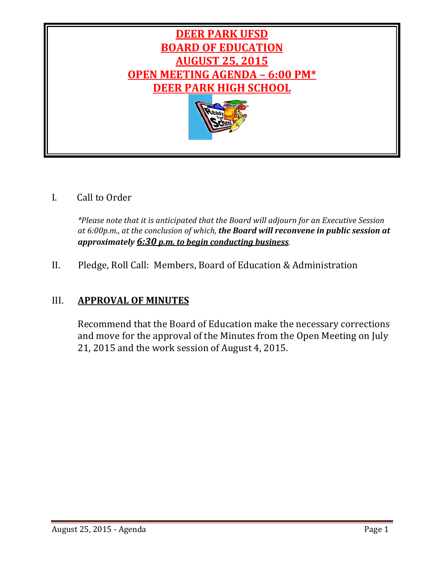

# I. Call to Order

*\*Please note that it is anticipated that the Board will adjourn for an Executive Session at 6:00p.m., at the conclusion of which, the Board will reconvene in public session at approximately 6:30 p.m. to begin conducting business.*

# II. Pledge, Roll Call: Members, Board of Education & Administration

# III. **APPROVAL OF MINUTES**

Recommend that the Board of Education make the necessary corrections and move for the approval of the Minutes from the Open Meeting on July 21, 2015 and the work session of August 4, 2015.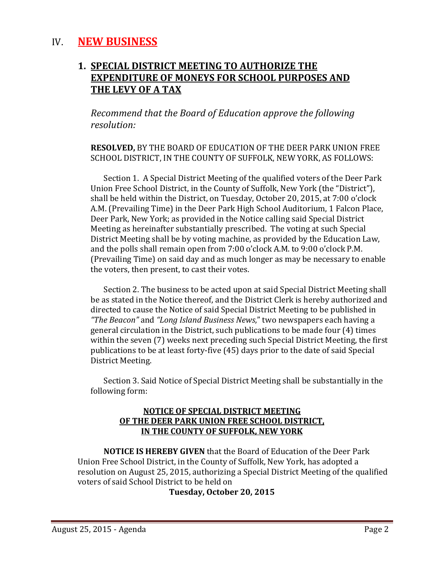# IV. **NEW BUSINESS**

# **1. SPECIAL DISTRICT MEETING TO AUTHORIZE THE EXPENDITURE OF MONEYS FOR SCHOOL PURPOSES AND THE LEVY OF A TAX**

*Recommend that the Board of Education approve the following resolution:*

#### **RESOLVED, BY THE BOARD OF EDUCATION OF THE DEER PARK UNION FREE** SCHOOL DISTRICT, IN THE COUNTY OF SUFFOLK, NEW YORK, AS FOLLOWS:

Section 1. A Special District Meeting of the qualified voters of the Deer Park Union Free School District, in the County of Suffolk, New York (the "District"), shall be held within the District, on Tuesday, October 20, 2015, at 7:00 o'clock A.M. (Prevailing Time) in the Deer Park High School Auditorium, 1 Falcon Place, Deer Park, New York; as provided in the Notice calling said Special District Meeting as hereinafter substantially prescribed. The voting at such Special District Meeting shall be by voting machine, as provided by the Education Law, and the polls shall remain open from 7:00 o'clock A.M. to 9:00 o'clock P.M. (Prevailing Time) on said day and as much longer as may be necessary to enable the voters, then present, to cast their votes.

Section 2. The business to be acted upon at said Special District Meeting shall be as stated in the Notice thereof, and the District Clerk is hereby authorized and directed to cause the Notice of said Special District Meeting to be published in *"The Beacon"* and *"Long Island Business News*," two newspapers each having a general circulation in the District, such publications to be made four (4) times within the seven (7) weeks next preceding such Special District Meeting, the first publications to be at least forty-five (45) days prior to the date of said Special District Meeting.

Section 3. Said Notice of Special District Meeting shall be substantially in the following form:

#### **NOTICE OF SPECIAL DISTRICT MEETING OF THE DEER PARK UNION FREE SCHOOL DISTRICT, IN THE COUNTY OF SUFFOLK, NEW YORK**

**NOTICE IS HEREBY GIVEN** that the Board of Education of the Deer Park Union Free School District, in the County of Suffolk, New York, has adopted a resolution on August 25, 2015, authorizing a Special District Meeting of the qualified voters of said School District to be held on

#### **Tuesday, October 20, 2015**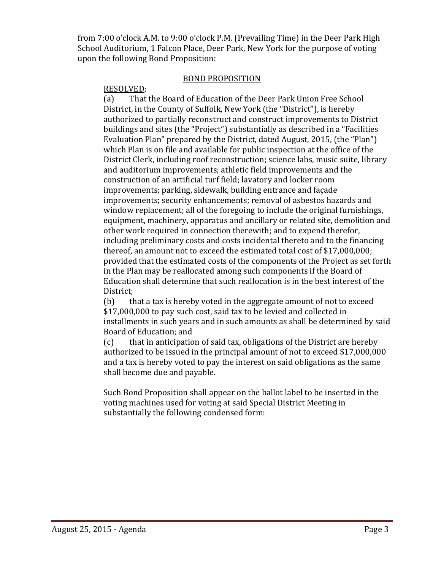from 7:00 o'clock A.M. to 9:00 o'clock P.M. (Prevailing Time) in the Deer Park High School Auditorium, 1 Falcon Place, Deer Park, New York for the purpose of voting upon the following Bond Proposition:

#### **BOND PROPOSITION**

### RESOLVED:

(a) That the Board of Education of the Deer Park Union Free School District, in the County of Suffolk, New York (the "District"), is hereby authorized to partially reconstruct and construct improvements to District buildings and sites (the "Project") substantially as described in a "Facilities Evaluation Plan" prepared by the District, dated August, 2015, (the "Plan") which Plan is on file and available for public inspection at the office of the District Clerk, including roof reconstruction; science labs, music suite, library and auditorium improvements; athletic field improvements and the construction of an artificial turf field; lavatory and locker room improvements; parking, sidewalk, building entrance and façade improvements; security enhancements; removal of asbestos hazards and window replacement; all of the foregoing to include the original furnishings, equipment, machinery, apparatus and ancillary or related site, demolition and other work required in connection therewith; and to expend therefor, including preliminary costs and costs incidental thereto and to the financing thereof, an amount not to exceed the estimated total cost of \$17,000,000; provided that the estimated costs of the components of the Project as set forth in the Plan may be reallocated among such components if the Board of Education shall determine that such reallocation is in the best interest of the District; 

(b) that a tax is hereby voted in the aggregate amount of not to exceed \$17,000,000 to pay such cost, said tax to be levied and collected in installments in such years and in such amounts as shall be determined by said Board of Education; and

 $(c)$  that in anticipation of said tax, obligations of the District are hereby authorized to be issued in the principal amount of not to exceed \$17,000,000 and a tax is hereby voted to pay the interest on said obligations as the same shall become due and payable.

Such Bond Proposition shall appear on the ballot label to be inserted in the voting machines used for voting at said Special District Meeting in substantially the following condensed form: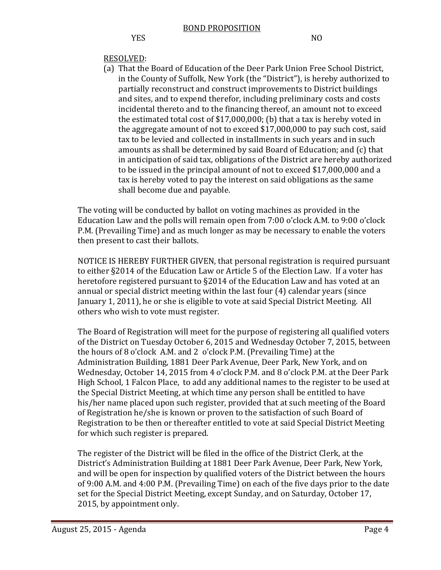# RESOLVED:

(a) That the Board of Education of the Deer Park Union Free School District, in the County of Suffolk, New York (the "District"), is hereby authorized to partially reconstruct and construct improvements to District buildings and sites, and to expend therefor, including preliminary costs and costs incidental thereto and to the financing thereof, an amount not to exceed the estimated total cost of  $$17,000,000$ ; (b) that a tax is hereby voted in the aggregate amount of not to exceed  $$17,000,000$  to pay such cost, said tax to be levied and collected in installments in such years and in such amounts as shall be determined by said Board of Education; and (c) that in anticipation of said tax, obligations of the District are hereby authorized to be issued in the principal amount of not to exceed \$17,000,000 and a tax is hereby voted to pay the interest on said obligations as the same shall become due and payable.

The voting will be conducted by ballot on voting machines as provided in the Education Law and the polls will remain open from 7:00 o'clock A.M. to 9:00 o'clock P.M. (Prevailing Time) and as much longer as may be necessary to enable the voters then present to cast their ballots.

NOTICE IS HEREBY FURTHER GIVEN, that personal registration is required pursuant to either §2014 of the Education Law or Article 5 of the Election Law. If a voter has heretofore registered pursuant to  $\S2014$  of the Education Law and has voted at an annual or special district meeting within the last four  $(4)$  calendar years (since January 1, 2011), he or she is eligible to vote at said Special District Meeting. All others who wish to vote must register.

The Board of Registration will meet for the purpose of registering all qualified voters of the District on Tuesday October 6, 2015 and Wednesday October 7, 2015, between the hours of  $8$  o'clock A.M. and  $2$  o'clock P.M. (Prevailing Time) at the Administration Building, 1881 Deer Park Avenue, Deer Park, New York, and on Wednesday, October 14, 2015 from 4 o'clock P.M. and 8 o'clock P.M. at the Deer Park High School, 1 Falcon Place, to add any additional names to the register to be used at the Special District Meeting, at which time any person shall be entitled to have his/her name placed upon such register, provided that at such meeting of the Board of Registration he/she is known or proven to the satisfaction of such Board of Registration to be then or thereafter entitled to vote at said Special District Meeting for which such register is prepared.

The register of the District will be filed in the office of the District Clerk, at the District's Administration Building at 1881 Deer Park Avenue, Deer Park, New York, and will be open for inspection by qualified voters of the District between the hours of 9:00 A.M. and 4:00 P.M. (Prevailing Time) on each of the five days prior to the date set for the Special District Meeting, except Sunday, and on Saturday, October 17, 2015, by appointment only.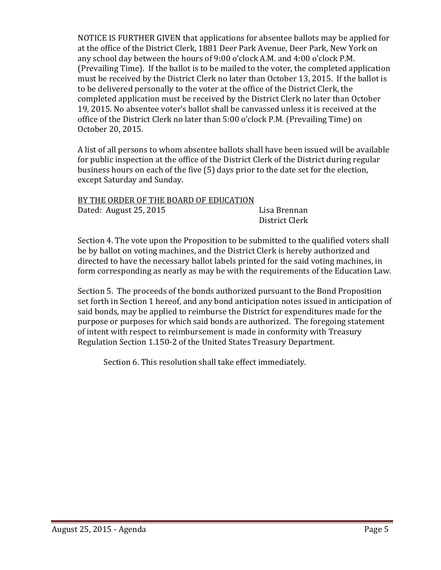NOTICE IS FURTHER GIVEN that applications for absentee ballots may be applied for at the office of the District Clerk, 1881 Deer Park Avenue, Deer Park, New York on any school day between the hours of  $9:00$  o'clock A.M. and  $4:00$  o'clock P.M. (Prevailing Time). If the ballot is to be mailed to the voter, the completed application must be received by the District Clerk no later than October 13, 2015. If the ballot is to be delivered personally to the voter at the office of the District Clerk, the completed application must be received by the District Clerk no later than October 19, 2015. No absentee voter's ballot shall be canvassed unless it is received at the office of the District Clerk no later than 5:00 o'clock P.M. (Prevailing Time) on October 20, 2015. 

A list of all persons to whom absentee ballots shall have been issued will be available for public inspection at the office of the District Clerk of the District during regular business hours on each of the five  $(5)$  days prior to the date set for the election, except Saturday and Sunday.

| BY THE ORDER OF THE BOARD OF EDUCATION |                |
|----------------------------------------|----------------|
| Dated: August 25, 2015                 | Lisa Brennan   |
|                                        | District Clerk |

Section 4. The vote upon the Proposition to be submitted to the qualified voters shall be by ballot on voting machines, and the District Clerk is hereby authorized and directed to have the necessary ballot labels printed for the said voting machines, in form corresponding as nearly as may be with the requirements of the Education Law.

Section 5. The proceeds of the bonds authorized pursuant to the Bond Proposition set forth in Section 1 hereof, and any bond anticipation notes issued in anticipation of said bonds, may be applied to reimburse the District for expenditures made for the purpose or purposes for which said bonds are authorized. The foregoing statement of intent with respect to reimbursement is made in conformity with Treasury Regulation Section 1.150-2 of the United States Treasury Department.

Section 6. This resolution shall take effect immediately.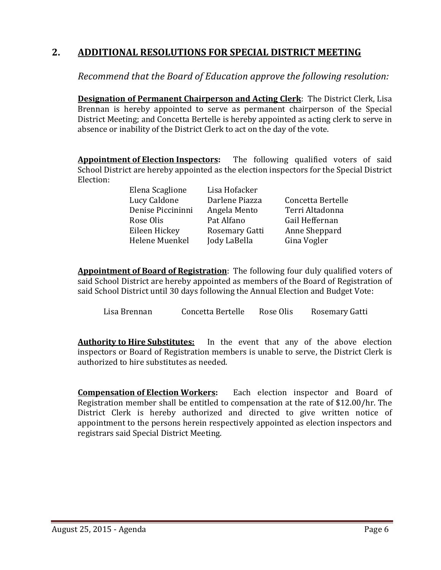# **2. ADDITIONAL RESOLUTIONS FOR SPECIAL DISTRICT MEETING**

*Recommend that the Board of Education approve the following resolution:*

**Designation of Permanent Chairperson and Acting Clerk:** The District Clerk, Lisa Brennan is hereby appointed to serve as permanent chairperson of the Special District Meeting; and Concetta Bertelle is hereby appointed as acting clerk to serve in absence or inability of the District Clerk to act on the day of the vote.

**Appointment of Election Inspectors:** The following qualified voters of said School District are hereby appointed as the election inspectors for the Special District Election: 

Helene Muenkel Jody LaBella Gina Vogler

Elena Scaglione Lisa Hofacker Lucy Caldone Darlene Piazza Concetta Bertelle Denise Piccininni Angela Mento Terri Altadonna Rose Olis **Pat Alfano** Gail Heffernan Eileen Hickey Rosemary Gatti Anne Sheppard

**Appointment of Board of Registration:** The following four duly qualified voters of said School District are hereby appointed as members of the Board of Registration of said School District until 30 days following the Annual Election and Budget Vote:

Lisa Brennan Concetta Bertelle Rose Olis Rosemary Gatti

**Authority to Hire Substitutes:** In the event that any of the above election inspectors or Board of Registration members is unable to serve, the District Clerk is authorized to hire substitutes as needed.

**Compensation of Election Workers:** Each election inspector and Board of Registration member shall be entitled to compensation at the rate of \$12.00/hr. The District Clerk is hereby authorized and directed to give written notice of appointment to the persons herein respectively appointed as election inspectors and registrars said Special District Meeting.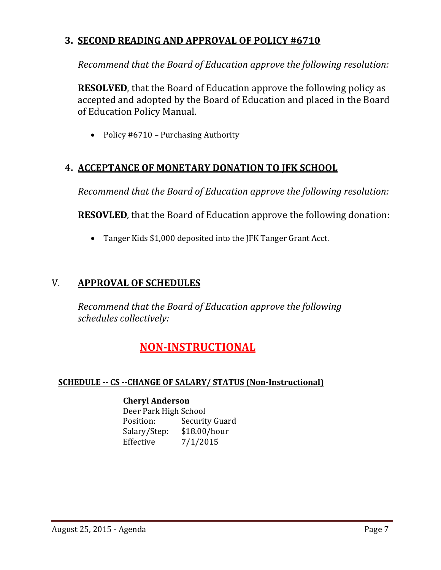# **3. SECOND READING AND APPROVAL OF POLICY #6710**

*Recommend that the Board of Education approve the following resolution:*

**RESOLVED**, that the Board of Education approve the following policy as accepted and adopted by the Board of Education and placed in the Board of Education Policy Manual.

• Policy  $#6710$  – Purchasing Authority

# **4. ACCEPTANCE OF MONETARY DONATION TO JFK SCHOOL**

*Recommend that the Board of Education approve the following resolution:*

**RESOVLED**, that the Board of Education approve the following donation:

• Tanger Kids \$1,000 deposited into the JFK Tanger Grant Acct.

# V. **APPROVAL OF SCHEDULES**

*Recommend that the Board of Education approve the following schedules collectively:*

# **NON‐INSTRUCTIONAL**

## **SCHEDULE ‐‐ CS ‐‐CHANGE OF SALARY/ STATUS (Non‐Instructional)**

#### **Cheryl Anderson**

Deer Park High School Position: Security Guard Salary/Step: \$18.00/hour Effective 7/1/2015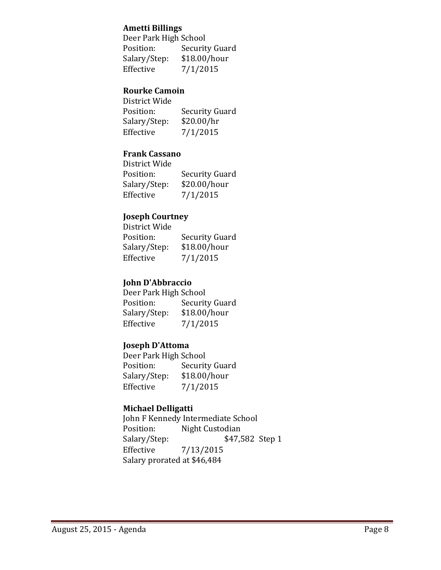#### **Ametti Billings**

|              | Deer Park High School |  |
|--------------|-----------------------|--|
| Position:    | Security Guard        |  |
| Salary/Step: | \$18.00/hour          |  |
| Effective    | 7/1/2015              |  |

### **Rourke Camoin**

| District Wide |                |
|---------------|----------------|
| Position:     | Security Guard |
| Salary/Step:  | \$20.00/hr     |
| Effective     | 7/1/2015       |

## **Frank Cassano**

| District Wide |                |
|---------------|----------------|
| Position:     | Security Guard |
| Salary/Step:  | \$20.00/hour   |
| Effective     | 7/1/2015       |

## **Joseph Courtney**

| District Wide |                |
|---------------|----------------|
| Position:     | Security Guard |
| Salary/Step:  | \$18.00/hour   |
| Effective     | 7/1/2015       |

# **John D'Abbraccio**

| Deer Park High School |                |
|-----------------------|----------------|
| Position:             | Security Guard |
| Salary/Step:          | \$18.00/hour   |
| Effective             | 7/1/2015       |

## **Joseph D'Attoma**

Deer Park High School Position: Security Guard Salary/Step: \$18.00/hour Effective  $7/1/2015$ 

## **Michael Delligatti**

John F Kennedy Intermediate School Position: Night Custodian Salary/Step: \$47,582 Step 1 Effective 7/13/2015 Salary prorated at \$46,484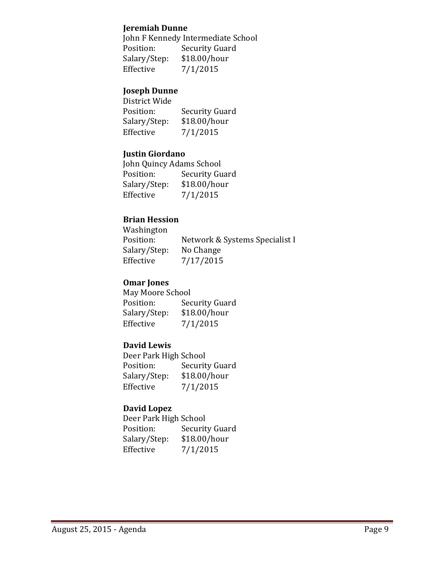#### **Jeremiah Dunne**

John F Kennedy Intermediate School Position: Security Guard Salary/Step: \$18.00/hour Effective  $7/1/2015$ 

#### **Joseph Dunne**

| District Wide |                       |
|---------------|-----------------------|
| Position:     | <b>Security Guard</b> |
| Salary/Step:  | \$18.00/hour          |
| Effective     | 7/1/2015              |

#### **Justin Giordano**

John Quincy Adams School Position: Security Guard Salary/Step: \$18.00/hour Effective  $7/1/2015$ 

## **Brian Hession**

 Washington Position: Network & Systems Specialist I Salary/Step: No Change Effective 7/17/2015

### **Omar Jones**

May Moore School Position: Security Guard Salary/Step: \$18.00/hour Effective  $7/1/2015$ 

#### **David Lewis**

Deer Park High School Position: Security Guard Salary/Step: \$18.00/hour Effective  $7/1/2015$ 

#### **David Lopez**

Deer Park High School Position: Security Guard Salary/Step: \$18.00/hour Effective  $7/1/2015$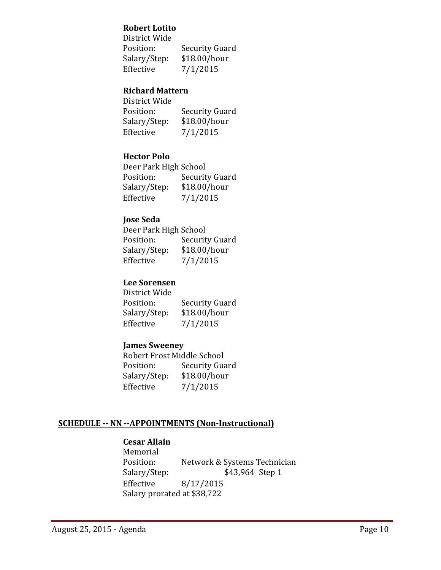## **Robert Lotito**

| District Wide |                |
|---------------|----------------|
| Position:     | Security Guard |
| Salary/Step:  | \$18.00/hour   |
| Effective     | 7/1/2015       |

### **Richard Mattern**

| District Wide |                |
|---------------|----------------|
| Position:     | Security Guard |
| Salary/Step:  | \$18.00/hour   |
| Effective     | 7/1/2015       |

## **Hector Polo**

|              | Deer Park High School |  |
|--------------|-----------------------|--|
| Position:    | <b>Security Guard</b> |  |
| Salary/Step: | \$18.00/hour          |  |
| Effective    | 7/1/2015              |  |

## **Jose Seda**

| Deer Park High School |                |
|-----------------------|----------------|
| Position:             | Security Guard |
| Salary/Step:          | \$18.00/hour   |
| Effective             | 7/1/2015       |

## **Lee Sorensen**

| District Wide |                       |
|---------------|-----------------------|
| Position:     | <b>Security Guard</b> |
| Salary/Step:  | \$18.00/hour          |
| Effective     | 7/1/2015              |

#### **James Sweeney**

Robert Frost Middle School Position: Security Guard Salary/Step: \$18.00/hour Effective  $7/1/2015$ 

## **SCHEDULE ‐‐ NN ‐‐APPOINTMENTS (Non‐Instructional)**

## **Cesar Allain**

 Memorial Position: Network & Systems Technician Salary/Step: \$43,964 Step 1 Effective 8/17/2015 Salary prorated at \$38,722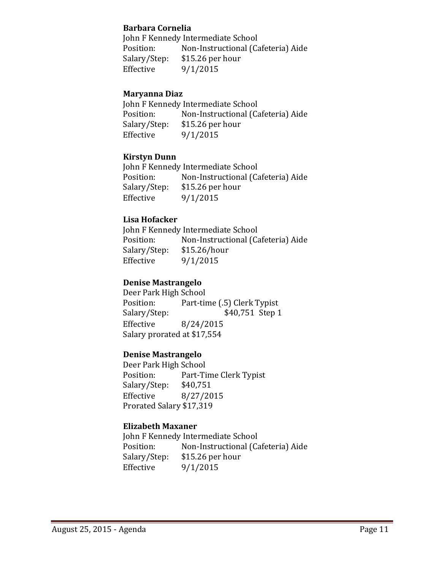#### **Barbara Cornelia**

John F Kennedy Intermediate School Position: Non-Instructional (Cafeteria) Aide Salary/Step: \$15.26 per hour Effective  $9/1/2015$ 

### **Maryanna Diaz**

John F Kennedy Intermediate School Position: Non-Instructional (Cafeteria) Aide Salary/Step: \$15.26 per hour Effective  $9/1/2015$ 

## **Kirstyn Dunn**

John F Kennedy Intermediate School Position: Non-Instructional (Cafeteria) Aide Salary/Step: \$15.26 per hour Effective  $9/1/2015$ 

## **Lisa Hofacker**

John F Kennedy Intermediate School Position: Non-Instructional (Cafeteria) Aide Salary/Step: \$15.26/hour Effective  $9/1/2015$ 

## **Denise Mastrangelo**

Deer Park High School Position: Part-time (.5) Clerk Typist Salary/Step: \$40,751 Step 1 Effective 8/24/2015 Salary prorated at \$17,554

#### **Denise Mastrangelo**

Deer Park High School Position: Part-Time Clerk Typist Salary/Step: \$40,751 Effective 8/27/2015 Prorated Salary \$17,319

#### **Elizabeth Maxaner**

John F Kennedy Intermediate School Position: Non-Instructional (Cafeteria) Aide Salary/Step: \$15.26 per hour Effective  $9/1/2015$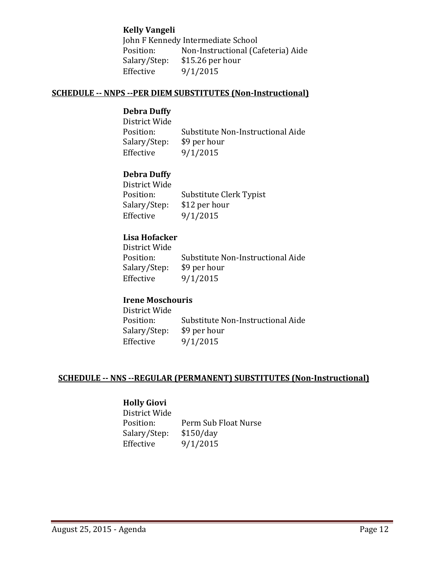#### **Kelly Vangeli**

John F Kennedy Intermediate School Position: Non-Instructional (Cafeteria) Aide Salary/Step: \$15.26 per hour Effective  $9/1/2015$ 

#### **SCHEDULE ‐‐ NNPS ‐‐PER DIEM SUBSTITUTES (Non‐Instructional)**

### **Debra Duffy**

District Wide Position: Substitute Non-Instructional Aide Salary/Step: \$9 per hour Effective  $9/1/2015$ 

## **Debra Duffy**

| District Wide |                         |
|---------------|-------------------------|
| Position:     | Substitute Clerk Typist |
| Salary/Step:  | \$12 per hour           |
| Effective     | 9/1/2015                |

## **Lisa Hofacker**

District Wide Position: Substitute Non-Instructional Aide Salary/Step: \$9 per hour Effective  $9/1/2015$ 

#### **Irene Moschouris**

District Wide Position: Substitute Non-Instructional Aide Salary/Step: \$9 per hour Effective  $9/1/2015$ 

#### **SCHEDULE ‐‐ NNS ‐‐REGULAR (PERMANENT) SUBSTITUTES (Non‐Instructional)**

#### **Holly Giovi**

District Wide Position: Perm Sub Float Nurse Salary/Step: \$150/day Effective  $9/1/2015$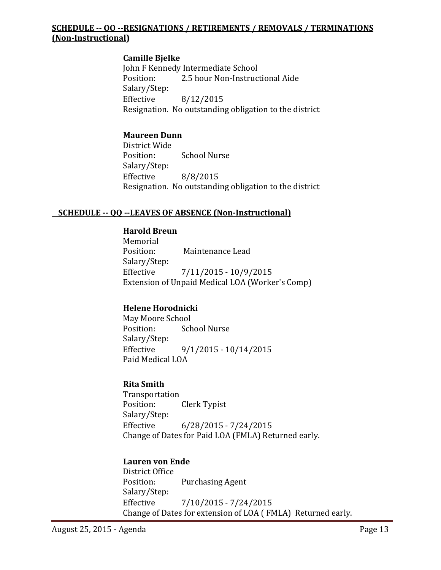### **SCHEDULE ‐‐ OO ‐‐RESIGNATIONS / RETIREMENTS / REMOVALS / TERMINATIONS (Non‐Instructional)**

## **Camille Bjelke**

John F Kennedy Intermediate School Position: 2.5 hour Non-Instructional Aide Salary/Step: Effective 8/12/2015 Resignation. No outstanding obligation to the district

### **Maureen Dunn**

District Wide Position: School Nurse Salary/Step: Effective 8/8/2015 Resignation. No outstanding obligation to the district

#### **SCHEDULE ‐‐ QQ ‐‐LEAVES OF ABSENCE (Non‐Instructional)**

#### **Harold Breun**

 Memorial Position: Maintenance Lead Salary/Step: Effective  $7/11/2015 - 10/9/2015$ Extension of Unpaid Medical LOA (Worker's Comp)

## **Helene Horodnicki**

May Moore School Position: School Nurse Salary/Step: Effective  $9/1/2015 - 10/14/2015$ Paid Medical LOA

### **Rita Smith**

 Transportation Position: Clerk Typist Salary/Step: Effective 6/28/2015 - 7/24/2015 Change of Dates for Paid LOA (FMLA) Returned early.

#### **Lauren von Ende**

District Office Position: Purchasing Agent Salary/Step: Effective  $\frac{7}{10/2015} - \frac{7}{24/2015}$ Change of Dates for extension of LOA (FMLA) Returned early.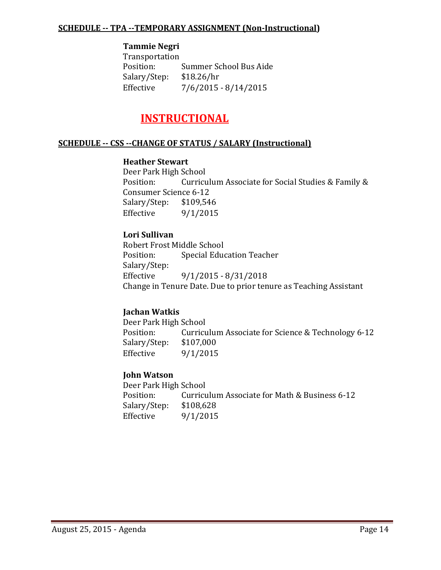#### **SCHEDULE ‐‐ TPA ‐‐TEMPORARY ASSIGNMENT (Non‐Instructional)**

#### **Tammie Negri**

 Transportation Position: Summer School Bus Aide Salary/Step: \$18.26/hr Effective  $\frac{7}{6}/\frac{2015 - 8}{14}/\frac{2015}{6}$ 

# **INSTRUCTIONAL**

#### **SCHEDULE ‐‐ CSS ‐‐CHANGE OF STATUS / SALARY (Instructional)**

#### **Heather Stewart**

Deer Park High School Position: Curriculum Associate for Social Studies & Family & Consumer Science 6-12 Salary/Step: \$109,546 Effective  $9/1/2015$ 

#### **Lori Sullivan**

Robert Frost Middle School Position: Special Education Teacher Salary/Step: Effective  $9/1/2015 - 8/31/2018$ Change in Tenure Date. Due to prior tenure as Teaching Assistant

#### **Jachan Watkis**

Deer Park High School Position: Curriculum Associate for Science & Technology 6-12 Salary/Step: \$107,000 Effective  $9/1/2015$ 

#### **John Watson**

Deer Park High School Position: Curriculum Associate for Math & Business 6-12 Salary/Step: \$108,628 Effective  $9/1/2015$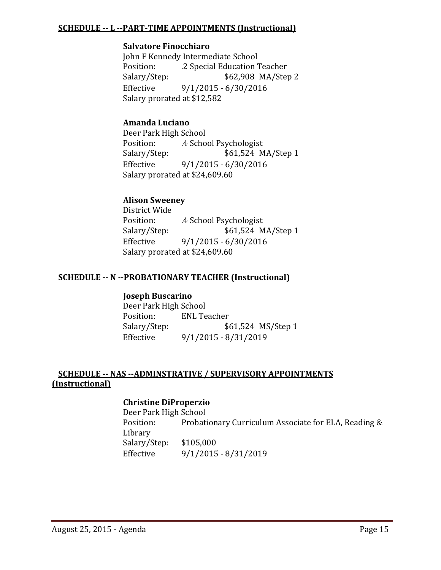#### **SCHEDULE ‐‐ L ‐‐PART‐TIME APPOINTMENTS (Instructional)**

#### **Salvatore Finocchiaro**

John F Kennedy Intermediate School Position: 2 Special Education Teacher Salary/Step: \$62,908 MA/Step 2 Effective 9/1/2015 - 6/30/2016 Salary prorated at \$12,582

### **Amanda Luciano**

Deer Park High School Position: 4 School Psychologist Salary/Step: \$61,524 MA/Step 1 Effective  $9/1/2015 - 6/30/2016$ Salary prorated at \$24,609.60

## **Alison Sweeney**

District Wide Position: 4 School Psychologist Salary/Step:  $$61,524 \text{ MA/Step 1}$ Effective 9/1/2015 - 6/30/2016 Salary prorated at \$24,609.60

#### **SCHEDULE ‐‐ N ‐‐PROBATIONARY TEACHER (Instructional)**

#### **Joseph Buscarino**

Deer Park High School Position: ENL Teacher Salary/Step: \$61,524 MS/Step 1 Effective 9/1/2015 - 8/31/2019

#### **SCHEDULE ‐‐ NAS ‐‐ADMINSTRATIVE / SUPERVISORY APPOINTMENTS (Instructional)**

#### **Christine DiProperzio**

Deer Park High School Position: Probationary Curriculum Associate for ELA, Reading & Library Salary/Step: \$105,000 Effective 9/1/2015 - 8/31/2019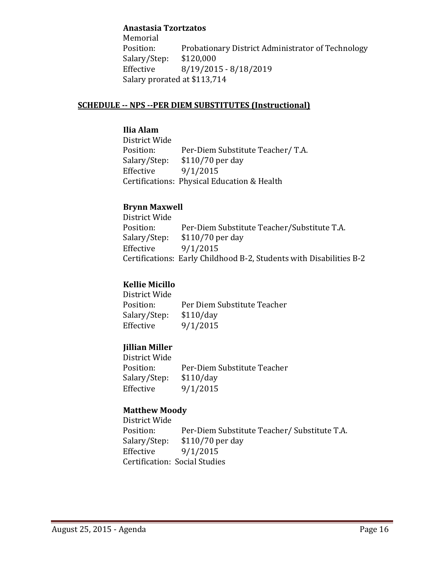#### **Anastasia Tzortzatos**

 Memorial Position: Probationary District Administrator of Technology Salary/Step: \$120,000 Effective 8/19/2015 - 8/18/2019 Salary prorated at \$113,714

#### **SCHEDULE ‐‐ NPS ‐‐PER DIEM SUBSTITUTES (Instructional)**

# **Ilia Alam**

District Wide Position: Per-Diem Substitute Teacher/ T.A. Salary/Step: \$110/70 per day Effective  $9/1/2015$ Certifications: Physical Education & Health

#### **Brynn Maxwell**

District Wide Position: Per-Diem Substitute Teacher/Substitute T.A. Salary/Step: \$110/70 per day Effective  $9/1/2015$ Certifications: Early Childhood B-2, Students with Disabilities B-2

## **Kellie Micillo**

District Wide Position: Per Diem Substitute Teacher Salary/Step: \$110/day Effective  $9/1/2015$ 

## **Jillian Miller**

District Wide Position: Per-Diem Substitute Teacher Salary/Step: \$110/day Effective  $9/1/2015$ 

#### **Matthew Moody**

District Wide Position: Per-Diem Substitute Teacher/ Substitute T.A. Salary/Step: \$110/70 per day Effective  $9/1/2015$  Certification: Social Studies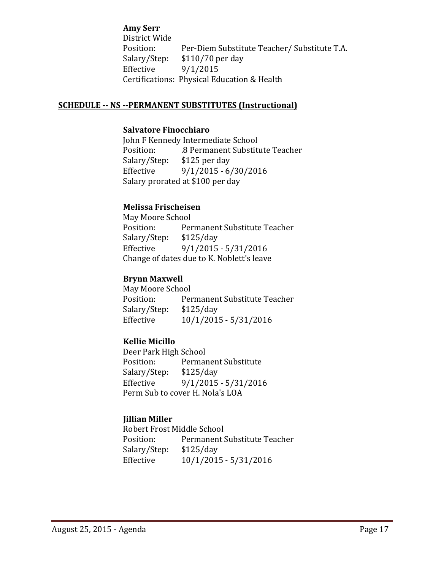**Amy Serr** District Wide Position: Per-Diem Substitute Teacher/ Substitute T.A. Salary/Step: \$110/70 per day Effective  $9/1/2015$ Certifications: Physical Education & Health

#### **SCHEDULE ‐‐ NS ‐‐PERMANENT SUBSTITUTES (Instructional)**

#### **Salvatore Finocchiaro**

John F Kennedy Intermediate School Position: 8 Permanent Substitute Teacher Salary/Step: \$125 per day Effective 9/1/2015 - 6/30/2016 Salary prorated at \$100 per day

#### **Melissa Frischeisen**

May Moore School Position: Permanent Substitute Teacher Salary/Step: \$125/day Effective  $9/1/2015 - 5/31/2016$ Change of dates due to K. Noblett's leave

#### **Brynn Maxwell**

May Moore School Position: Permanent Substitute Teacher Salary/Step: \$125/day Effective  $10/1/2015 - 5/31/2016$ 

#### **Kellie Micillo**

Deer Park High School Position: Permanent Substitute Salary/Step: \$125/day Effective 9/1/2015 - 5/31/2016 Perm Sub to cover H. Nola's LOA

#### **Jillian Miller**

Robert Frost Middle School Position: Permanent Substitute Teacher Salary/Step: \$125/day Effective  $10/1/2015 - 5/31/2016$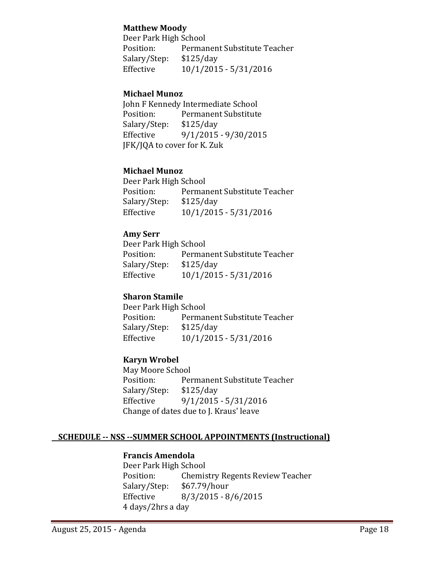#### **Matthew Moody**

Deer Park High School Position: Permanent Substitute Teacher Salary/Step: \$125/day Effective  $10/1/2015 - 5/31/2016$ 

#### **Michael Munoz**

John F Kennedy Intermediate School Position: Permanent Substitute Salary/Step: \$125/day Effective 9/1/2015 - 9/30/2015 JFK/JQA to cover for K. Zuk

#### **Michael Munoz**

Deer Park High School Position: Permanent Substitute Teacher Salary/Step: \$125/day Effective  $10/1/2015 - 5/31/2016$ 

#### **Amy Serr**

Deer Park High School Position: Permanent Substitute Teacher Salary/Step: \$125/day Effective  $10/1/2015 - 5/31/2016$ 

#### **Sharon Stamile**

Deer Park High School Position: Permanent Substitute Teacher Salary/Step: \$125/day Effective  $10/1/2015 - 5/31/2016$ 

#### **Karyn Wrobel**

May Moore School Position: Permanent Substitute Teacher Salary/Step: \$125/day Effective 9/1/2015 - 5/31/2016 Change of dates due to J. Kraus' leave

# **SCHEDULE ‐‐ NSS ‐‐SUMMER SCHOOL APPOINTMENTS (Instructional)**

# **Francis Amendola**

Deer Park High School Position: Chemistry Regents Review Teacher Salary/Step: \$67.79/hour Effective 8/3/2015 - 8/6/2015 4 days/2hrs a day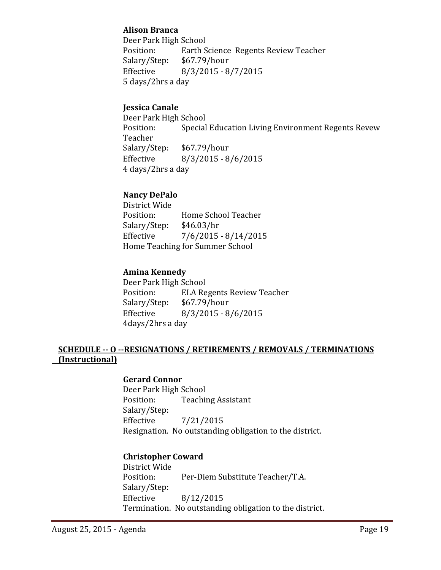## **Alison Branca**

Deer Park High School Position: Earth Science Regents Review Teacher Salary/Step: \$67.79/hour Effective 8/3/2015 - 8/7/2015 5 days/2hrs a day

### **Jessica Canale**

Deer Park High School Position: Special Education Living Environment Regents Revew Teacher Salary/Step: \$67.79/hour Effective 8/3/2015 - 8/6/2015 4 days/2hrs a day

## **Nancy DePalo**

District Wide Position: Home School Teacher Salary/Step: \$46.03/hr Effective  $\frac{7}{6}/\frac{2015 - 8}{14}/\frac{2015}{6}$ Home Teaching for Summer School

## **Amina Kennedy**

Deer Park High School Position: ELA Regents Review Teacher Salary/Step: \$67.79/hour Effective 8/3/2015 - 8/6/2015 4days/2hrs a day

## **SCHEDULE ‐‐ O ‐‐RESIGNATIONS / RETIREMENTS / REMOVALS / TERMINATIONS (Instructional)**

#### **Gerard Connor**

Deer Park High School Position: Teaching Assistant Salary/Step: Effective 7/21/2015 Resignation. No outstanding obligation to the district.

#### **Christopher Coward**

District Wide Position: Per-Diem Substitute Teacher/T.A. Salary/Step: Effective 8/12/2015 Termination. No outstanding obligation to the district.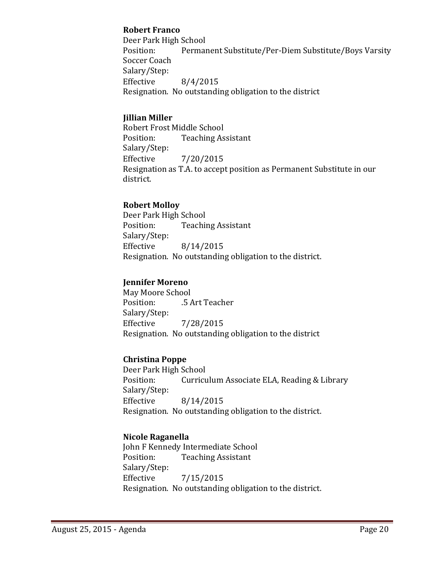#### **Robert Franco**

Deer Park High School Position: Permanent Substitute/Per-Diem Substitute/Boys Varsity Soccer Coach Salary/Step: Effective  $8/4/2015$ Resignation. No outstanding obligation to the district

## **Jillian Miller**

Robert Frost Middle School Position: Teaching Assistant Salary/Step: Effective 7/20/2015 Resignation as T.A. to accept position as Permanent Substitute in our district.

## **Robert Molloy**

Deer Park High School Position: Teaching Assistant Salary/Step: Effective  $8/14/2015$ Resignation. No outstanding obligation to the district.

## **Jennifer Moreno**

May Moore School Position: 5 Art Teacher Salary/Step: Effective 7/28/2015 Resignation. No outstanding obligation to the district

#### **Christina Poppe**

Deer Park High School Position: Curriculum Associate ELA, Reading & Library Salary/Step: Effective 8/14/2015 Resignation. No outstanding obligation to the district.

## **Nicole Raganella**

John F Kennedy Intermediate School Position: Teaching Assistant Salary/Step: Effective 7/15/2015 Resignation. No outstanding obligation to the district.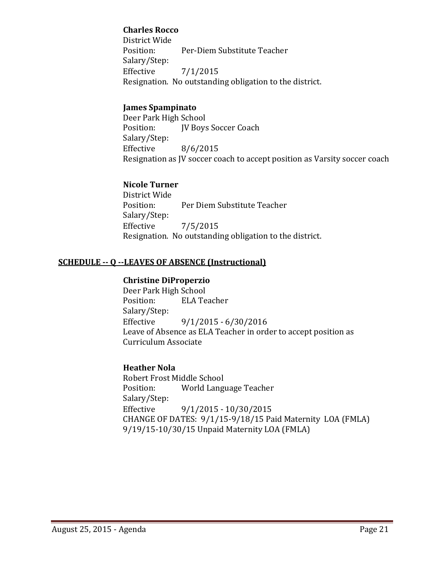### **Charles Rocco**

District Wide Position: Per-Diem Substitute Teacher Salary/Step: Effective  $7/1/2015$ Resignation. No outstanding obligation to the district.

## **James Spampinato**

Deer Park High School Position: **IV Boys Soccer Coach**  Salary/Step: Effective 8/6/2015 Resignation as JV soccer coach to accept position as Varsity soccer coach

## **Nicole Turner**

District Wide Position: Per Diem Substitute Teacher Salary/Step: Effective  $7/5/2015$ Resignation. No outstanding obligation to the district.

## **SCHEDULE ‐‐ Q ‐‐LEAVES OF ABSENCE (Instructional)**

#### **Christine DiProperzio**

Deer Park High School Position: ELA Teacher Salary/Step: Effective 9/1/2015 - 6/30/2016 Leave of Absence as ELA Teacher in order to accept position as Curriculum Associate

#### **Heather Nola**

Robert Frost Middle School Position: World Language Teacher Salary/Step: Effective 9/1/2015 - 10/30/2015 CHANGE OF DATES:  $9/1/15-9/18/15$  Paid Maternity LOA (FMLA) 9/19/15-10/30/15 Unpaid Maternity LOA (FMLA)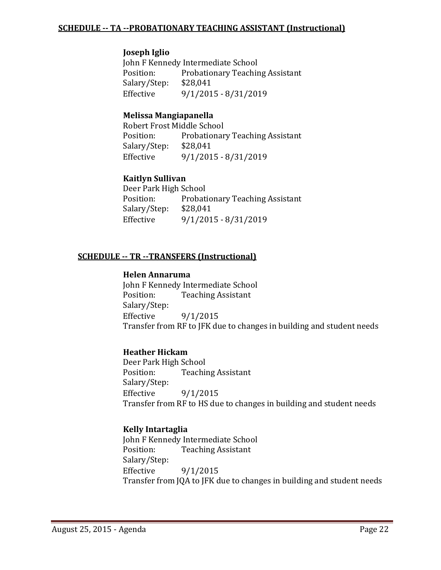#### **Joseph Iglio**

John F Kennedy Intermediate School Position: Probationary Teaching Assistant Salary/Step: \$28,041 Effective 9/1/2015 - 8/31/2019

#### **Melissa Mangiapanella**

Robert Frost Middle School Position: Probationary Teaching Assistant Salary/Step: \$28,041 Effective  $9/1/2015 - 8/31/2019$ 

## **Kaitlyn Sullivan**

Deer Park High School Position: Probationary Teaching Assistant Salary/Step: \$28,041 Effective 9/1/2015 - 8/31/2019

## **SCHEDULE ‐‐ TR ‐‐TRANSFERS (Instructional)**

#### **Helen Annaruma**

John F Kennedy Intermediate School Position: Teaching Assistant Salary/Step: Effective  $9/1/2015$ Transfer from RF to JFK due to changes in building and student needs

#### **Heather Hickam**

Deer Park High School Position: Teaching Assistant Salary/Step: Effective  $9/1/2015$ Transfer from RF to HS due to changes in building and student needs

#### **Kelly Intartaglia**

John F Kennedy Intermediate School Position: Teaching Assistant Salary/Step: Effective  $9/1/2015$ Transfer from JQA to JFK due to changes in building and student needs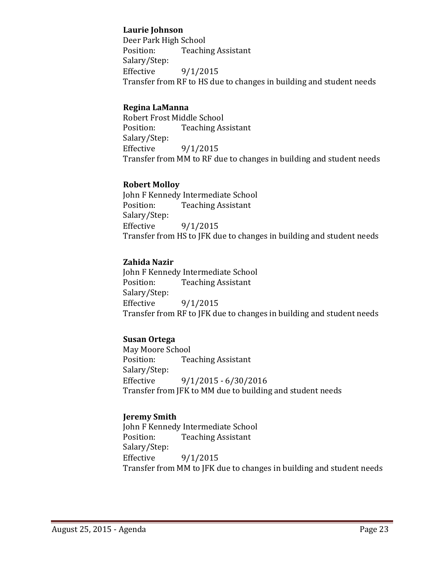#### **Laurie Johnson**

Deer Park High School Position: Teaching Assistant Salary/Step: Effective  $9/1/2015$ Transfer from RF to HS due to changes in building and student needs

## **Regina LaManna**

Robert Frost Middle School Position: Teaching Assistant Salary/Step: Effective  $9/1/2015$ Transfer from MM to RF due to changes in building and student needs

#### **Robert Molloy**

John F Kennedy Intermediate School Position: Teaching Assistant Salary/Step: Effective  $9/1/2015$ Transfer from HS to JFK due to changes in building and student needs

## **Zahida Nazir**

John F Kennedy Intermediate School Position: Teaching Assistant Salary/Step: Effective  $9/1/2015$ Transfer from RF to JFK due to changes in building and student needs

## **Susan Ortega**

May Moore School Position: Teaching Assistant Salary/Step: Effective 9/1/2015 - 6/30/2016 Transfer from JFK to MM due to building and student needs

## **Jeremy Smith**

John F Kennedy Intermediate School Position: Teaching Assistant Salary/Step: Effective  $9/1/2015$ Transfer from MM to JFK due to changes in building and student needs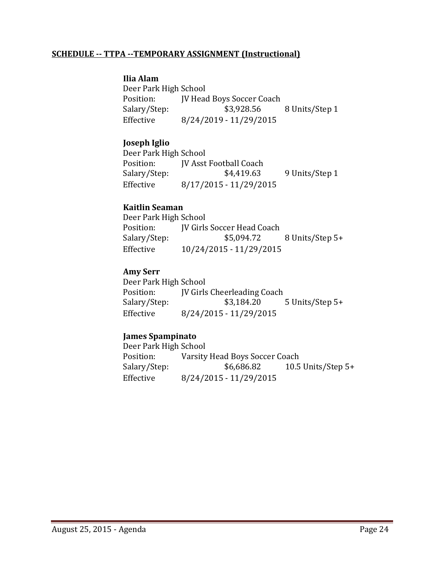#### **SCHEDULE ‐‐ TTPA ‐‐TEMPORARY ASSIGNMENT (Instructional)**

#### **Ilia Alam**

Deer Park High School Position: **IV Head Boys Soccer Coach** Salary/Step:  $$3,928.56$  8 Units/Step 1 Effective 8/24/2019 - 11/29/2015

#### **Joseph Iglio**

Deer Park High School Position: **IV Asst Football Coach** Salary/Step:  $$4,419.63$  9 Units/Step 1 Effective 8/17/2015 - 11/29/2015

#### **Kaitlin Seaman**

Deer Park High School Position: **JV** Girls Soccer Head Coach Salary/Step: \$5,094.72 8 Units/Step 5+ Effective  $10/24/2015 - 11/29/2015$ 

#### **Amy Serr**

Deer Park High School Position: **IV** Girls Cheerleading Coach Salary/Step: \$3,184.20 5 Units/Step 5+ Effective 8/24/2015 - 11/29/2015

#### **James Spampinato**

Deer Park High School Position: Varsity Head Boys Soccer Coach Salary/Step:  $$6,686.82$  10.5 Units/Step 5+ Effective 8/24/2015 - 11/29/2015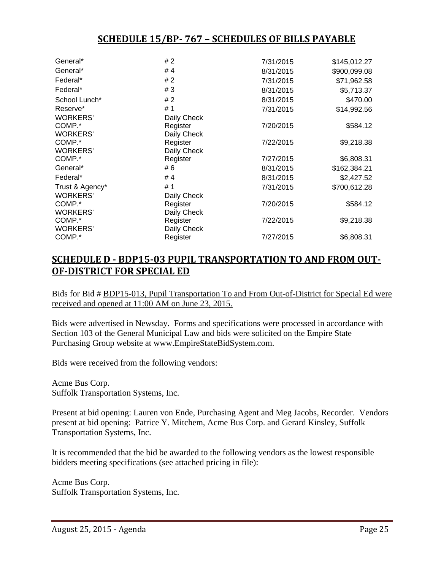# **SCHEDULE 15/BP‐ 767 – SCHEDULES OF BILLS PAYABLE**

| General*        | # 2         | 7/31/2015 | \$145,012.27 |
|-----------------|-------------|-----------|--------------|
| General*        | # 4         | 8/31/2015 | \$900,099.08 |
| Federal*        | #2          | 7/31/2015 | \$71,962.58  |
| Federal*        | #3          | 8/31/2015 | \$5,713.37   |
| School Lunch*   | #2          | 8/31/2015 | \$470.00     |
| Reserve*        | #1          | 7/31/2015 | \$14,992.56  |
| <b>WORKERS'</b> | Daily Check |           |              |
| COMP.*          | Register    | 7/20/2015 | \$584.12     |
| <b>WORKERS'</b> | Daily Check |           |              |
| COMP.*          | Register    | 7/22/2015 | \$9,218.38   |
| <b>WORKERS'</b> | Daily Check |           |              |
| COMP.*          | Register    | 7/27/2015 | \$6,808.31   |
| General*        | # 6         | 8/31/2015 | \$162,384.21 |
| Federal*        | #4          | 8/31/2015 | \$2,427.52   |
| Trust & Agency* | #1          | 7/31/2015 | \$700,612.28 |
| <b>WORKERS'</b> | Daily Check |           |              |
| COMP.*          | Register    | 7/20/2015 | \$584.12     |
| <b>WORKERS'</b> | Daily Check |           |              |
| COMP.*          | Register    | 7/22/2015 | \$9,218.38   |
| <b>WORKERS'</b> | Daily Check |           |              |
| COMP.*          | Register    | 7/27/2015 | \$6,808.31   |

## **SCHEDULE D ‐ BDP15‐03 PUPIL TRANSPORTATION TO AND FROM OUT‐ OF‐DISTRICT FOR SPECIAL ED**

Bids for Bid # BDP15-013, Pupil Transportation To and From Out-of-District for Special Ed were received and opened at 11:00 AM on June 23, 2015.

Bids were advertised in Newsday. Forms and specifications were processed in accordance with Section 103 of the General Municipal Law and bids were solicited on the Empire State Purchasing Group website at www.EmpireStateBidSystem.com.

Bids were received from the following vendors:

Acme Bus Corp. Suffolk Transportation Systems, Inc.

Present at bid opening: Lauren von Ende, Purchasing Agent and Meg Jacobs, Recorder. Vendors present at bid opening: Patrice Y. Mitchem, Acme Bus Corp. and Gerard Kinsley, Suffolk Transportation Systems, Inc.

It is recommended that the bid be awarded to the following vendors as the lowest responsible bidders meeting specifications (see attached pricing in file):

Acme Bus Corp. Suffolk Transportation Systems, Inc.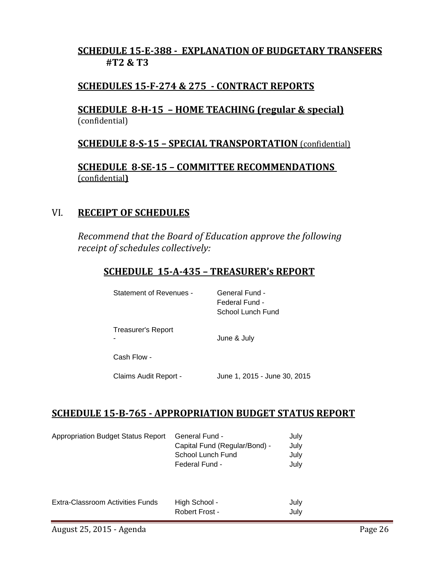# **SCHEDULE 15‐E‐388 ‐ EXPLANATION OF BUDGETARY TRANSFERS #T2 & T3**

# **SCHEDULES 15‐F‐274 & 275 ‐ CONTRACT REPORTS**

## **SCHEDULE 8‐H‐15 – HOME TEACHING (regular & special)** (confidential)

# **SCHEDULE 8‐S‐15 – SPECIAL TRANSPORTATION** (confidential)

**SCHEDULE 8‐SE‐15 – COMMITTEE RECOMMENDATIONS** (confidential**)**

## VI. **RECEIPT OF SCHEDULES**

*Recommend that the Board of Education approve the following receipt of schedules collectively:*

# **SCHEDULE 15‐A‐435 – TREASURER's REPORT**

| Statement of Revenues -        | General Fund -<br>Federal Fund -<br>School Lunch Fund |
|--------------------------------|-------------------------------------------------------|
| <b>Treasurer's Report</b><br>۰ | June & July                                           |
| Cash Flow -                    |                                                       |
| Claims Audit Report -          | June 1, 2015 - June 30, 2015                          |

# **SCHEDULE 15‐B‐765 ‐ APPROPRIATION BUDGET STATUS REPORT**

| <b>Appropriation Budget Status Report</b> | General Fund -<br>Capital Fund (Regular/Bond) -<br>School Lunch Fund<br>Federal Fund - | July<br>July<br>July<br>July |
|-------------------------------------------|----------------------------------------------------------------------------------------|------------------------------|
| Extra-Classroom Activities Funds          | High School -<br>Robert Frost -                                                        | July<br>July                 |